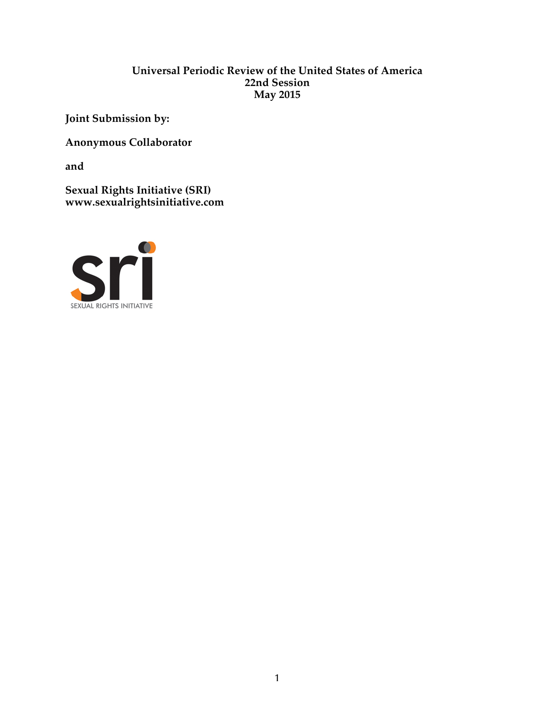#### **Universal Periodic Review of the United States of America 22nd Session May 2015**

**Joint Submission by:**

**Anonymous Collaborator** 

**and** 

**Sexual Rights Initiative (SRI) www.sexualrightsinitiative.com**

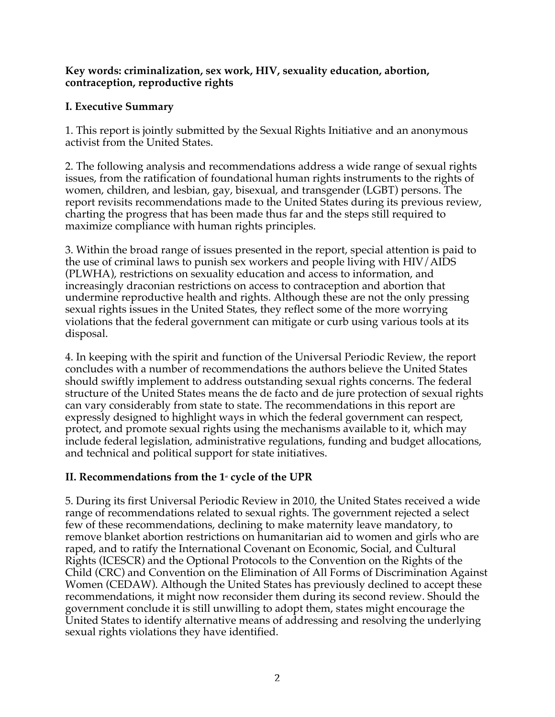#### **Key words: criminalization, sex work, HIV, sexuality education, abortion, contraception, reproductive rights**

## **I. Executive Summary**

1. This report is jointly submitted by the Sexual Rights Initiativei and an anonymous activist from the United States.

2. The following analysis and recommendations address a wide range of sexual rights issues, from the ratification of foundational human rights instruments to the rights of women, children, and lesbian, gay, bisexual, and transgender (LGBT) persons. The report revisits recommendations made to the United States during its previous review, charting the progress that has been made thus far and the steps still required to maximize compliance with human rights principles.

3. Within the broad range of issues presented in the report, special attention is paid to the use of criminal laws to punish sex workers and people living with HIV/AIDS (PLWHA), restrictions on sexuality education and access to information, and increasingly draconian restrictions on access to contraception and abortion that undermine reproductive health and rights. Although these are not the only pressing sexual rights issues in the United States, they reflect some of the more worrying violations that the federal government can mitigate or curb using various tools at its disposal.

4. In keeping with the spirit and function of the Universal Periodic Review, the report concludes with a number of recommendations the authors believe the United States should swiftly implement to address outstanding sexual rights concerns. The federal structure of the United States means the de facto and de jure protection of sexual rights can vary considerably from state to state. The recommendations in this report are expressly designed to highlight ways in which the federal government can respect, protect, and promote sexual rights using the mechanisms available to it, which may include federal legislation, administrative regulations, funding and budget allocations, and technical and political support for state initiatives.

# II. Recommendations from the 1<sup>st</sup> cycle of the UPR

5. During its first Universal Periodic Review in 2010, the United States received a wide range of recommendations related to sexual rights. The government rejected a select few of these recommendations, declining to make maternity leave mandatory, to remove blanket abortion restrictions on humanitarian aid to women and girls who are raped, and to ratify the International Covenant on Economic, Social, and Cultural Rights (ICESCR) and the Optional Protocols to the Convention on the Rights of the Child (CRC) and Convention on the Elimination of All Forms of Discrimination Against Women (CEDAW). Although the United States has previously declined to accept these recommendations, it might now reconsider them during its second review. Should the government conclude it is still unwilling to adopt them, states might encourage the United States to identify alternative means of addressing and resolving the underlying sexual rights violations they have identified.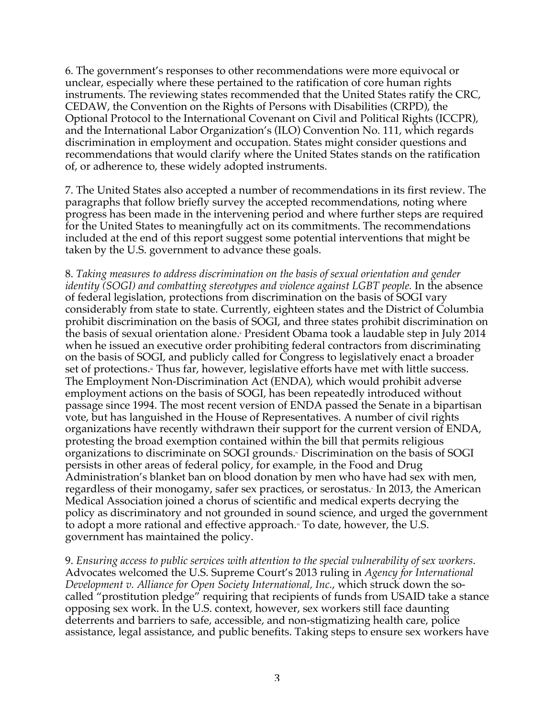6. The government's responses to other recommendations were more equivocal or unclear, especially where these pertained to the ratification of core human rights instruments. The reviewing states recommended that the United States ratify the CRC, CEDAW, the Convention on the Rights of Persons with Disabilities (CRPD), the Optional Protocol to the International Covenant on Civil and Political Rights (ICCPR), and the International Labor Organization's (ILO) Convention No. 111, which regards discrimination in employment and occupation. States might consider questions and recommendations that would clarify where the United States stands on the ratification of, or adherence to, these widely adopted instruments.

7. The United States also accepted a number of recommendations in its first review. The paragraphs that follow briefly survey the accepted recommendations, noting where progress has been made in the intervening period and where further steps are required for the United States to meaningfully act on its commitments. The recommendations included at the end of this report suggest some potential interventions that might be taken by the U.S. government to advance these goals.

8. *Taking measures to address discrimination on the basis of sexual orientation and gender identity (SOGI) and combatting stereotypes and violence against LGBT people.* In the absence of federal legislation, protections from discrimination on the basis of SOGI vary considerably from state to state. Currently, eighteen states and the District of Columbia prohibit discrimination on the basis of SOGI, and three states prohibit discrimination on the basis of sexual orientation alone.<sup>*i*</sup> President Obama took a laudable step in July 2014 when he issued an executive order prohibiting federal contractors from discriminating on the basis of SOGI, and publicly called for Congress to legislatively enact a broader set of protections.<sup>\*</sup> Thus far, however, legislative efforts have met with little success. The Employment Non-Discrimination Act (ENDA), which would prohibit adverse employment actions on the basis of SOGI, has been repeatedly introduced without passage since 1994. The most recent version of ENDA passed the Senate in a bipartisan vote, but has languished in the House of Representatives. A number of civil rights organizations have recently withdrawn their support for the current version of ENDA, protesting the broad exemption contained within the bill that permits religious organizations to discriminate on SOGI grounds.<sup>\*</sup> Discrimination on the basis of SOGI persists in other areas of federal policy, for example, in the Food and Drug Administration's blanket ban on blood donation by men who have had sex with men, regardless of their monogamy, safer sex practices, or serostatus. In 2013, the American Medical Association joined a chorus of scientific and medical experts decrying the policy as discriminatory and not grounded in sound science, and urged the government to adopt a more rational and effective approach.<sup>\*</sup> To date, however, the U.S. government has maintained the policy.

9. *Ensuring access to public services with attention to the special vulnerability of sex workers*. Advocates welcomed the U.S. Supreme Court's 2013 ruling in *Agency for International Development v. Alliance for Open Society International, Inc.*, which struck down the socalled "prostitution pledge" requiring that recipients of funds from USAID take a stance opposing sex work. In the U.S. context, however, sex workers still face daunting deterrents and barriers to safe, accessible, and non-stigmatizing health care, police assistance, legal assistance, and public benefits. Taking steps to ensure sex workers have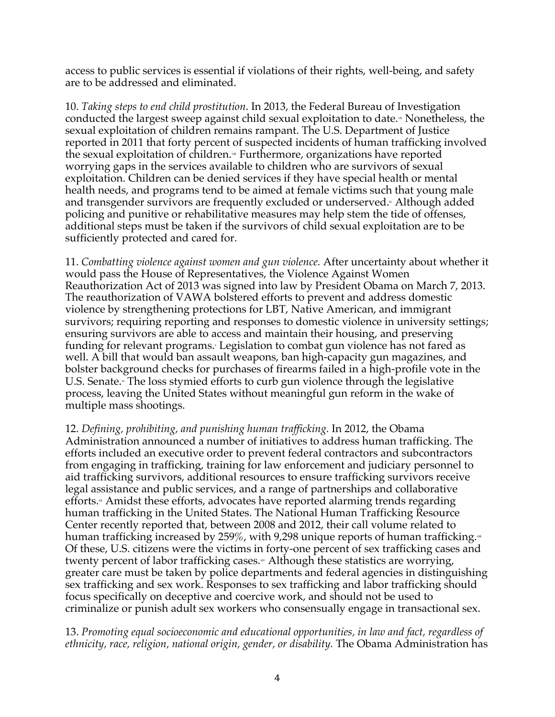access to public services is essential if violations of their rights, well-being, and safety are to be addressed and eliminated.

10. *Taking steps to end child prostitution*. In 2013, the Federal Bureau of Investigation conducted the largest sweep against child sexual exploitation to date. $\cdot$  Nonetheless, the sexual exploitation of children remains rampant. The U.S. Department of Justice reported in 2011 that forty percent of suspected incidents of human trafficking involved the sexual exploitation of children.<sup>\*</sup> Furthermore, organizations have reported worrying gaps in the services available to children who are survivors of sexual exploitation. Children can be denied services if they have special health or mental health needs, and programs tend to be aimed at female victims such that young male and transgender survivors are frequently excluded or underserved. Although added policing and punitive or rehabilitative measures may help stem the tide of offenses, additional steps must be taken if the survivors of child sexual exploitation are to be sufficiently protected and cared for.

11. *Combatting violence against women and gun violence.* After uncertainty about whether it would pass the House of Representatives, the Violence Against Women Reauthorization Act of 2013 was signed into law by President Obama on March 7, 2013. The reauthorization of VAWA bolstered efforts to prevent and address domestic violence by strengthening protections for LBT, Native American, and immigrant survivors; requiring reporting and responses to domestic violence in university settings; ensuring survivors are able to access and maintain their housing, and preserving funding for relevant programs. Legislation to combat gun violence has not fared as well. A bill that would ban assault weapons, ban high-capacity gun magazines, and bolster background checks for purchases of firearms failed in a high-profile vote in the U.S. Senate.<sup>\*</sup> The loss stymied efforts to curb gun violence through the legislative process, leaving the United States without meaningful gun reform in the wake of multiple mass shootings.

12. *Defining, prohibiting, and punishing human trafficking.* In 2012, the Obama Administration announced a number of initiatives to address human trafficking. The efforts included an executive order to prevent federal contractors and subcontractors from engaging in trafficking, training for law enforcement and judiciary personnel to aid trafficking survivors, additional resources to ensure trafficking survivors receive legal assistance and public services, and a range of partnerships and collaborative efforts.<sup>\*</sup> Amidst these efforts, advocates have reported alarming trends regarding human trafficking in the United States. The National Human Trafficking Resource Center recently reported that, between 2008 and 2012, their call volume related to human trafficking increased by 259%, with 9,298 unique reports of human trafficking. $\equiv$ Of these, U.S. citizens were the victims in forty-one percent of sex trafficking cases and twenty percent of labor trafficking cases.\* Although these statistics are worrying, greater care must be taken by police departments and federal agencies in distinguishing sex trafficking and sex work. Responses to sex trafficking and labor trafficking should focus specifically on deceptive and coercive work, and should not be used to criminalize or punish adult sex workers who consensually engage in transactional sex.

13. *Promoting equal socioeconomic and educational opportunities, in law and fact, regardless of ethnicity, race, religion, national origin, gender, or disability.* The Obama Administration has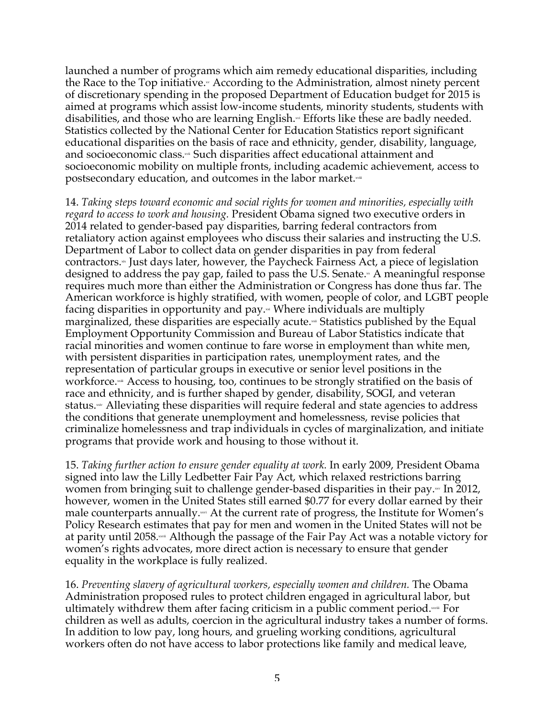launched a number of programs which aim remedy educational disparities, including the Race to the Top initiative.<sup>\*</sup> According to the Administration, almost ninety percent of discretionary spending in the proposed Department of Education budget for 2015 is aimed at programs which assist low-income students, minority students, students with disabilities, and those who are learning English.<sup>\*\*</sup> Efforts like these are badly needed. Statistics collected by the National Center for Education Statistics report significant educational disparities on the basis of race and ethnicity, gender, disability, language, and socioeconomic class.xii Such disparities affect educational attainment and socioeconomic mobility on multiple fronts, including academic achievement, access to postsecondary education, and outcomes in the labor market.xviii

14. *Taking steps toward economic and social rights for women and minorities, especially with regard to access to work and housing.* President Obama signed two executive orders in 2014 related to gender-based pay disparities, barring federal contractors from retaliatory action against employees who discuss their salaries and instructing the U.S. Department of Labor to collect data on gender disparities in pay from federal contractors. $\cdot$  Just days later, however, the Paycheck Fairness Act, a piece of legislation designed to address the pay gap, failed to pass the U.S. Senate. $\alpha$  A meaningful response requires much more than either the Administration or Congress has done thus far. The American workforce is highly stratified, with women, people of color, and LGBT people facing disparities in opportunity and pay. $\cdot$  Where individuals are multiply marginalized, these disparities are especially acute. $\sim$  Statistics published by the Equal Employment Opportunity Commission and Bureau of Labor Statistics indicate that racial minorities and women continue to fare worse in employment than white men, with persistent disparities in participation rates, unemployment rates, and the representation of particular groups in executive or senior level positions in the workforce. $\cdot$  Access to housing, too, continues to be strongly stratified on the basis of race and ethnicity, and is further shaped by gender, disability, SOGI, and veteran status. $*$  Alleviating these disparities will require federal and state agencies to address the conditions that generate unemployment and homelessness, revise policies that criminalize homelessness and trap individuals in cycles of marginalization, and initiate programs that provide work and housing to those without it.

15. *Taking further action to ensure gender equality at work.* In early 2009, President Obama signed into law the Lilly Ledbetter Fair Pay Act, which relaxed restrictions barring women from bringing suit to challenge gender-based disparities in their pay. $\sim$  In 2012, however, women in the United States still earned \$0.77 for every dollar earned by their male counterparts annually. $x^*$  At the current rate of progress, the Institute for Women's Policy Research estimates that pay for men and women in the United States will not be at parity until 2058.xxxi Although the passage of the Fair Pay Act was a notable victory for women's rights advocates, more direct action is necessary to ensure that gender equality in the workplace is fully realized.

16. *Preventing slavery of agricultural workers, especially women and children.* The Obama Administration proposed rules to protect children engaged in agricultural labor, but ultimately withdrew them after facing criticism in a public comment period. $\overline{x}$  For children as well as adults, coercion in the agricultural industry takes a number of forms. In addition to low pay, long hours, and grueling working conditions, agricultural workers often do not have access to labor protections like family and medical leave,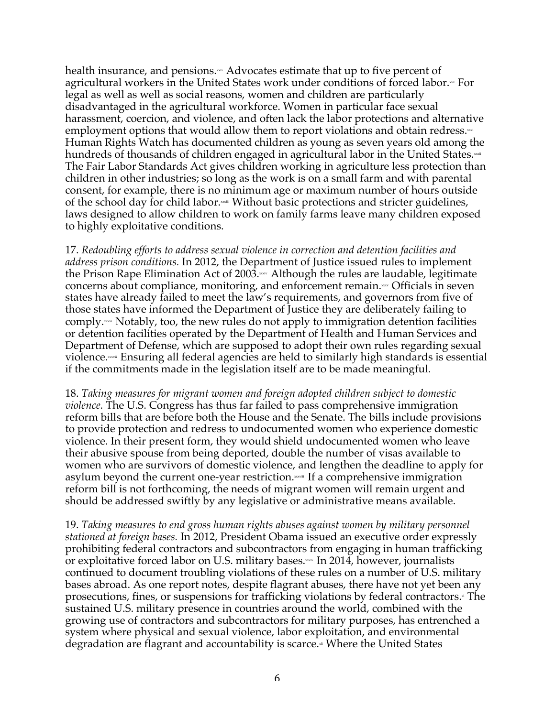health insurance, and pensions.\*\* Advocates estimate that up to five percent of agricultural workers in the United States work under conditions of forced labor.<sup>\*</sup>\* For legal as well as well as social reasons, women and children are particularly disadvantaged in the agricultural workforce. Women in particular face sexual harassment, coercion, and violence, and often lack the labor protections and alternative employment options that would allow them to report violations and obtain redress. $\mathbb{R}^n$ Human Rights Watch has documented children as young as seven years old among the hundreds of thousands of children engaged in agricultural labor in the United States.xxxii The Fair Labor Standards Act gives children working in agriculture less protection than children in other industries; so long as the work is on a small farm and with parental consent, for example, there is no minimum age or maximum number of hours outside of the school day for child labor. $\mathbf{w}$  Without basic protections and stricter guidelines, laws designed to allow children to work on family farms leave many children exposed to highly exploitative conditions.

17. *Redoubling efforts to address sexual violence in correction and detention facilities and address prison conditions.* In 2012, the Department of Justice issued rules to implement the Prison Rape Elimination Act of 2003. $x^*$  Although the rules are laudable, legitimate concerns about compliance, monitoring, and enforcement remain. $\sim$  Officials in seven states have already failed to meet the law's requirements, and governors from five of those states have informed the Department of Justice they are deliberately failing to comply.xxxi Notably, too, the new rules do not apply to immigration detention facilities or detention facilities operated by the Department of Health and Human Services and Department of Defense, which are supposed to adopt their own rules regarding sexual violence.xxxii Ensuring all federal agencies are held to similarly high standards is essential if the commitments made in the legislation itself are to be made meaningful.

18. *Taking measures for migrant women and foreign adopted children subject to domestic violence.* The U.S. Congress has thus far failed to pass comprehensive immigration reform bills that are before both the House and the Senate. The bills include provisions to provide protection and redress to undocumented women who experience domestic violence. In their present form, they would shield undocumented women who leave their abusive spouse from being deported, double the number of visas available to women who are survivors of domestic violence, and lengthen the deadline to apply for asylum beyond the current one-year restriction. $x^*$  If a comprehensive immigration reform bill is not forthcoming, the needs of migrant women will remain urgent and should be addressed swiftly by any legislative or administrative means available.

19. *Taking measures to end gross human rights abuses against women by military personnel stationed at foreign bases.* In 2012, President Obama issued an executive order expressly prohibiting federal contractors and subcontractors from engaging in human trafficking or exploitative forced labor on U.S. military bases.xxxx In 2014, however, journalists continued to document troubling violations of these rules on a number of U.S. military bases abroad. As one report notes, despite flagrant abuses, there have not yet been any prosecutions, fines, or suspensions for trafficking violations by federal contractors.<sub>"</sub> The sustained U.S. military presence in countries around the world, combined with the growing use of contractors and subcontractors for military purposes, has entrenched a system where physical and sexual violence, labor exploitation, and environmental degradation are flagrant and accountability is scarce.<sup>\*</sup> Where the United States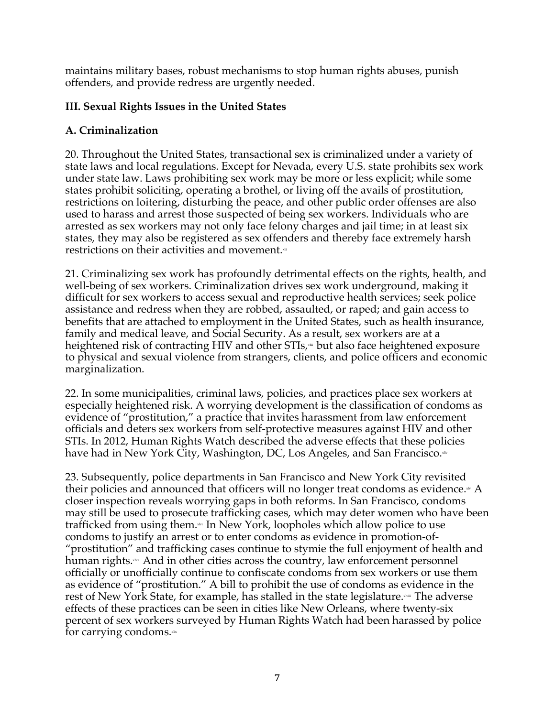maintains military bases, robust mechanisms to stop human rights abuses, punish offenders, and provide redress are urgently needed.

# **III. Sexual Rights Issues in the United States**

## **A. Criminalization**

20. Throughout the United States, transactional sex is criminalized under a variety of state laws and local regulations. Except for Nevada, every U.S. state prohibits sex work under state law. Laws prohibiting sex work may be more or less explicit; while some states prohibit soliciting, operating a brothel, or living off the avails of prostitution, restrictions on loitering, disturbing the peace, and other public order offenses are also used to harass and arrest those suspected of being sex workers. Individuals who are arrested as sex workers may not only face felony charges and jail time; in at least six states, they may also be registered as sex offenders and thereby face extremely harsh restrictions on their activities and movement.<sup>\*</sup>

21. Criminalizing sex work has profoundly detrimental effects on the rights, health, and well-being of sex workers. Criminalization drives sex work underground, making it difficult for sex workers to access sexual and reproductive health services; seek police assistance and redress when they are robbed, assaulted, or raped; and gain access to benefits that are attached to employment in the United States, such as health insurance, family and medical leave, and Social Security. As a result, sex workers are at a heightened risk of contracting HIV and other STIs,<sup>\*\*</sup> but also face heightened exposure to physical and sexual violence from strangers, clients, and police officers and economic marginalization.

22. In some municipalities, criminal laws, policies, and practices place sex workers at especially heightened risk. A worrying development is the classification of condoms as evidence of "prostitution," a practice that invites harassment from law enforcement officials and deters sex workers from self-protective measures against HIV and other STIs. In 2012, Human Rights Watch described the adverse effects that these policies have had in New York City, Washington, DC, Los Angeles, and San Francisco.xiv

23. Subsequently, police departments in San Francisco and New York City revisited their policies and announced that officers will no longer treat condoms as evidence. $\ast$  A closer inspection reveals worrying gaps in both reforms. In San Francisco, condoms may still be used to prosecute trafficking cases, which may deter women who have been trafficked from using them.\*\* In New York, loopholes which allow police to use condoms to justify an arrest or to enter condoms as evidence in promotion-of- "prostitution" and trafficking cases continue to stymie the full enjoyment of health and human rights.\*\* And in other cities across the country, law enforcement personnel officially or unofficially continue to confiscate condoms from sex workers or use them as evidence of "prostitution." A bill to prohibit the use of condoms as evidence in the rest of New York State, for example, has stalled in the state legislature.<sup>\*\*</sup> The adverse effects of these practices can be seen in cities like New Orleans, where twenty-six percent of sex workers surveyed by Human Rights Watch had been harassed by police for carrying condoms. $x$ thx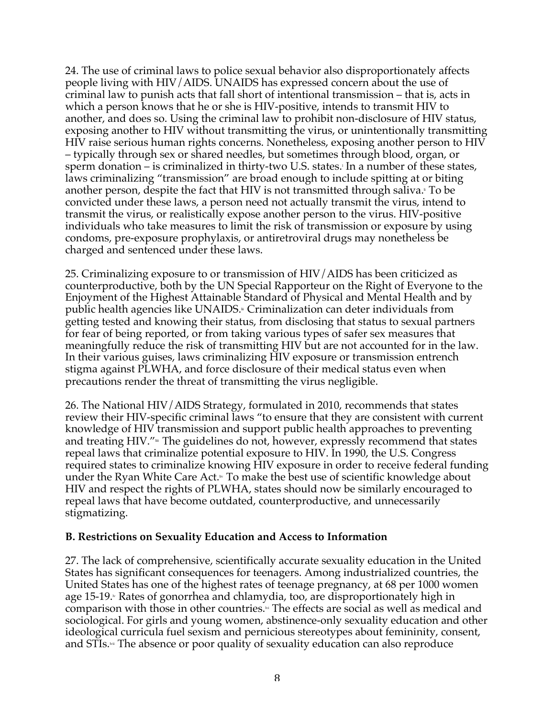24. The use of criminal laws to police sexual behavior also disproportionately affects people living with HIV/AIDS. UNAIDS has expressed concern about the use of criminal law to punish acts that fall short of intentional transmission – that is, acts in which a person knows that he or she is HIV-positive, intends to transmit HIV to another, and does so. Using the criminal law to prohibit non-disclosure of HIV status, exposing another to HIV without transmitting the virus, or unintentionally transmitting HIV raise serious human rights concerns. Nonetheless, exposing another person to HIV – typically through sex or shared needles, but sometimes through blood, organ, or sperm donation – is criminalized in thirty-two U.S. states. In a number of these states, laws criminalizing "transmission" are broad enough to include spitting at or biting another person, despite the fact that HIV is not transmitted through saliva.<sup>To be</sup> convicted under these laws, a person need not actually transmit the virus, intend to transmit the virus, or realistically expose another person to the virus. HIV-positive individuals who take measures to limit the risk of transmission or exposure by using condoms, pre-exposure prophylaxis, or antiretroviral drugs may nonetheless be charged and sentenced under these laws.

25. Criminalizing exposure to or transmission of HIV/AIDS has been criticized as counterproductive, both by the UN Special Rapporteur on the Right of Everyone to the Enjoyment of the Highest Attainable Standard of Physical and Mental Health and by public health agencies like UNAIDS.<sup>®</sup> Criminalization can deter individuals from getting tested and knowing their status, from disclosing that status to sexual partners for fear of being reported, or from taking various types of safer sex measures that meaningfully reduce the risk of transmitting HIV but are not accounted for in the law. In their various guises, laws criminalizing HIV exposure or transmission entrench stigma against PLWHA, and force disclosure of their medical status even when precautions render the threat of transmitting the virus negligible.

26. The National HIV/AIDS Strategy, formulated in 2010, recommends that states review their HIV-specific criminal laws "to ensure that they are consistent with current knowledge of HIV transmission and support public health approaches to preventing and treating HIV." $\equiv$  The guidelines do not, however, expressly recommend that states repeal laws that criminalize potential exposure to HIV. In 1990, the U.S. Congress required states to criminalize knowing HIV exposure in order to receive federal funding under the Ryan White Care Act. $\cdot$  To make the best use of scientific knowledge about HIV and respect the rights of PLWHA, states should now be similarly encouraged to repeal laws that have become outdated, counterproductive, and unnecessarily stigmatizing.

#### **B. Restrictions on Sexuality Education and Access to Information**

27. The lack of comprehensive, scientifically accurate sexuality education in the United States has significant consequences for teenagers. Among industrialized countries, the United States has one of the highest rates of teenage pregnancy, at 68 per 1000 women age 15-19. $\textdegree$  Rates of gonorrhea and chlamydia, too, are disproportionately high in comparison with those in other countries. $\mathbb{N}$  The effects are social as well as medical and sociological. For girls and young women, abstinence-only sexuality education and other ideological curricula fuel sexism and pernicious stereotypes about femininity, consent, and STIs.<sup>\*</sup> The absence or poor quality of sexuality education can also reproduce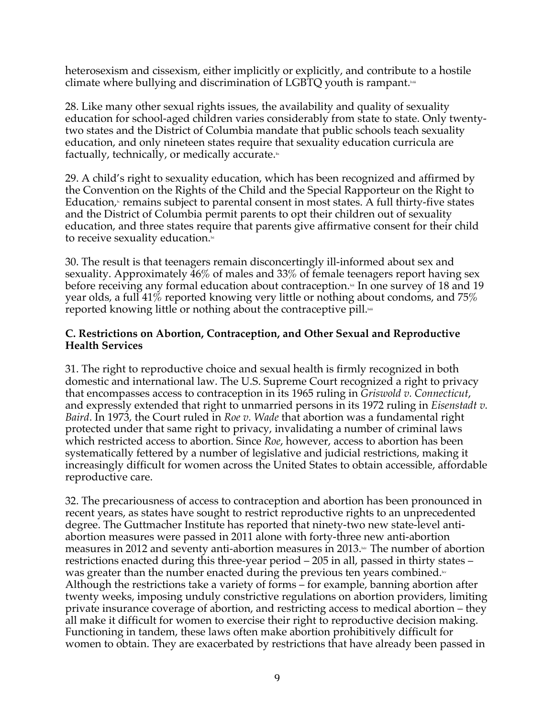heterosexism and cissexism, either implicitly or explicitly, and contribute to a hostile climate where bullying and discrimination of LGBTQ youth is rampant. $\lambda_{\text{min}}$ 

28. Like many other sexual rights issues, the availability and quality of sexuality education for school-aged children varies considerably from state to state. Only twentytwo states and the District of Columbia mandate that public schools teach sexuality education, and only nineteen states require that sexuality education curricula are factually, technically, or medically accurate. $\mathbb{I}$ 

29. A child's right to sexuality education, which has been recognized and affirmed by the Convention on the Rights of the Child and the Special Rapporteur on the Right to Education,<sub>"</sub> remains subject to parental consent in most states. A full thirty-five states and the District of Columbia permit parents to opt their children out of sexuality education, and three states require that parents give affirmative consent for their child to receive sexuality education. $\mathbb{R}^d$ 

30. The result is that teenagers remain disconcertingly ill-informed about sex and sexuality. Approximately 46% of males and 33% of female teenagers report having sex before receiving any formal education about contraception.<sup>14</sup> In one survey of 18 and 19 year olds, a full 41% reported knowing very little or nothing about condoms, and 75% reported knowing little or nothing about the contraceptive pill. $\frac{1}{n}$ 

#### **C. Restrictions on Abortion, Contraception, and Other Sexual and Reproductive Health Services**

31. The right to reproductive choice and sexual health is firmly recognized in both domestic and international law. The U.S. Supreme Court recognized a right to privacy that encompasses access to contraception in its 1965 ruling in *Griswold v. Connecticut*, and expressly extended that right to unmarried persons in its 1972 ruling in *Eisenstadt v. Baird*. In 1973, the Court ruled in *Roe v. Wade* that abortion was a fundamental right protected under that same right to privacy, invalidating a number of criminal laws which restricted access to abortion. Since *Roe*, however, access to abortion has been systematically fettered by a number of legislative and judicial restrictions, making it increasingly difficult for women across the United States to obtain accessible, affordable reproductive care.

32. The precariousness of access to contraception and abortion has been pronounced in recent years, as states have sought to restrict reproductive rights to an unprecedented degree. The Guttmacher Institute has reported that ninety-two new state-level antiabortion measures were passed in 2011 alone with forty-three new anti-abortion measures in 2012 and seventy anti-abortion measures in 2013. $\cdot$  The number of abortion restrictions enacted during this three-year period – 205 in all, passed in thirty states – was greater than the number enacted during the previous ten years combined. $\mathbb{R}^N$ Although the restrictions take a variety of forms – for example, banning abortion after twenty weeks, imposing unduly constrictive regulations on abortion providers, limiting private insurance coverage of abortion, and restricting access to medical abortion – they all make it difficult for women to exercise their right to reproductive decision making. Functioning in tandem, these laws often make abortion prohibitively difficult for women to obtain. They are exacerbated by restrictions that have already been passed in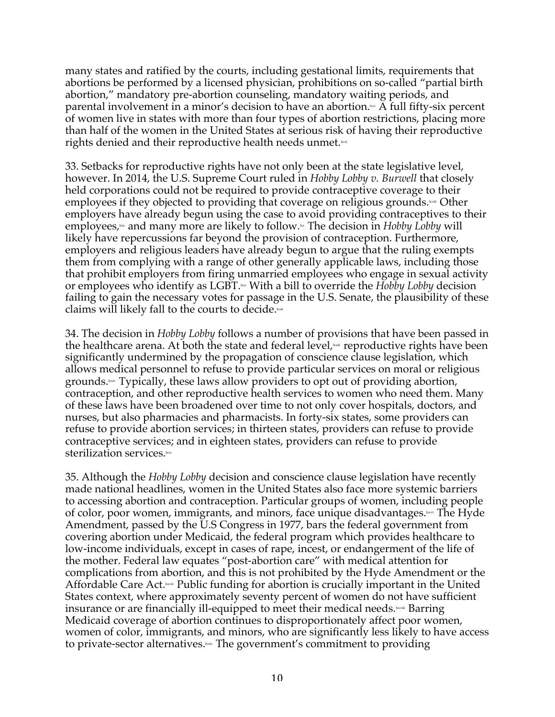many states and ratified by the courts, including gestational limits, requirements that abortions be performed by a licensed physician, prohibitions on so-called "partial birth abortion," mandatory pre-abortion counseling, mandatory waiting periods, and parental involvement in a minor's decision to have an abortion. $\mathbb{R}^N$  A full fifty-six percent of women live in states with more than four types of abortion restrictions, placing more than half of the women in the United States at serious risk of having their reproductive rights denied and their reproductive health needs unmet.

33. Setbacks for reproductive rights have not only been at the state legislative level, however. In 2014, the U.S. Supreme Court ruled in *Hobby Lobby v. Burwell* that closely held corporations could not be required to provide contraceptive coverage to their employees if they objected to providing that coverage on religious grounds. $\text{N}^{\text{test}}$  Other employers have already begun using the case to avoid providing contraceptives to their employees,<sup> $\star$ </sup> and many more are likely to follow.<sup> $\star$ </sup> The decision in *Hobby Lobby will* likely have repercussions far beyond the provision of contraception. Furthermore, employers and religious leaders have already begun to argue that the ruling exempts them from complying with a range of other generally applicable laws, including those that prohibit employers from firing unmarried employees who engage in sexual activity or employees who identify as LGBT.<sup>104</sup> With a bill to override the *Hobby Lobby* decision failing to gain the necessary votes for passage in the U.S. Senate, the plausibility of these claims will likely fall to the courts to decide. $\frac{1}{2}$ 

34. The decision in *Hobby Lobby* follows a number of provisions that have been passed in the healthcare arena. At both the state and federal level, $\text{w}$  reproductive rights have been significantly undermined by the propagation of conscience clause legislation, which allows medical personnel to refuse to provide particular services on moral or religious grounds. $\frac{1}{2}$  Typically, these laws allow providers to opt out of providing abortion, contraception, and other reproductive health services to women who need them. Many of these laws have been broadened over time to not only cover hospitals, doctors, and nurses, but also pharmacies and pharmacists. In forty-six states, some providers can refuse to provide abortion services; in thirteen states, providers can refuse to provide contraceptive services; and in eighteen states, providers can refuse to provide sterilization services.

35. Although the *Hobby Lobby* decision and conscience clause legislation have recently made national headlines, women in the United States also face more systemic barriers to accessing abortion and contraception. Particular groups of women, including people of color, poor women, immigrants, and minors, face unique disadvantages. $\text{km}$  The Hyde Amendment, passed by the U.S Congress in 1977, bars the federal government from covering abortion under Medicaid, the federal program which provides healthcare to low-income individuals, except in cases of rape, incest, or endangerment of the life of the mother. Federal law equates "post-abortion care" with medical attention for complications from abortion, and this is not prohibited by the Hyde Amendment or the Affordable Care Act. **Longity** Public funding for abortion is crucially important in the United States context, where approximately seventy percent of women do not have sufficient insurance or are financially ill-equipped to meet their medical needs. $\text{km}$  Barring Medicaid coverage of abortion continues to disproportionately affect poor women, women of color, immigrants, and minors, who are significantly less likely to have access to private-sector alternatives. $\sim$  The government's commitment to providing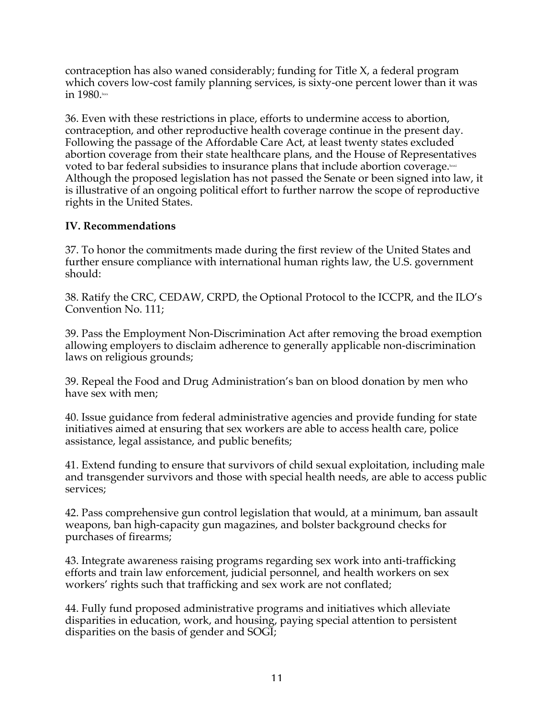contraception has also waned considerably; funding for Title X, a federal program which covers low-cost family planning services, is sixty-one percent lower than it was in  $1980 \text{.}$ 

36. Even with these restrictions in place, efforts to undermine access to abortion, contraception, and other reproductive health coverage continue in the present day. Following the passage of the Affordable Care Act, at least twenty states excluded abortion coverage from their state healthcare plans, and the House of Representatives voted to bar federal subsidies to insurance plans that include abortion coverage. Although the proposed legislation has not passed the Senate or been signed into law, it is illustrative of an ongoing political effort to further narrow the scope of reproductive rights in the United States.

### **IV. Recommendations**

37. To honor the commitments made during the first review of the United States and further ensure compliance with international human rights law, the U.S. government should:

38. Ratify the CRC, CEDAW, CRPD, the Optional Protocol to the ICCPR, and the ILO's Convention No. 111;

39. Pass the Employment Non-Discrimination Act after removing the broad exemption allowing employers to disclaim adherence to generally applicable non-discrimination laws on religious grounds;

39. Repeal the Food and Drug Administration's ban on blood donation by men who have sex with men;

40. Issue guidance from federal administrative agencies and provide funding for state initiatives aimed at ensuring that sex workers are able to access health care, police assistance, legal assistance, and public benefits;

41. Extend funding to ensure that survivors of child sexual exploitation, including male and transgender survivors and those with special health needs, are able to access public services;

42. Pass comprehensive gun control legislation that would, at a minimum, ban assault weapons, ban high-capacity gun magazines, and bolster background checks for purchases of firearms;

43. Integrate awareness raising programs regarding sex work into anti-trafficking efforts and train law enforcement, judicial personnel, and health workers on sex workers' rights such that trafficking and sex work are not conflated;

44. Fully fund proposed administrative programs and initiatives which alleviate disparities in education, work, and housing, paying special attention to persistent disparities on the basis of gender and SOGI;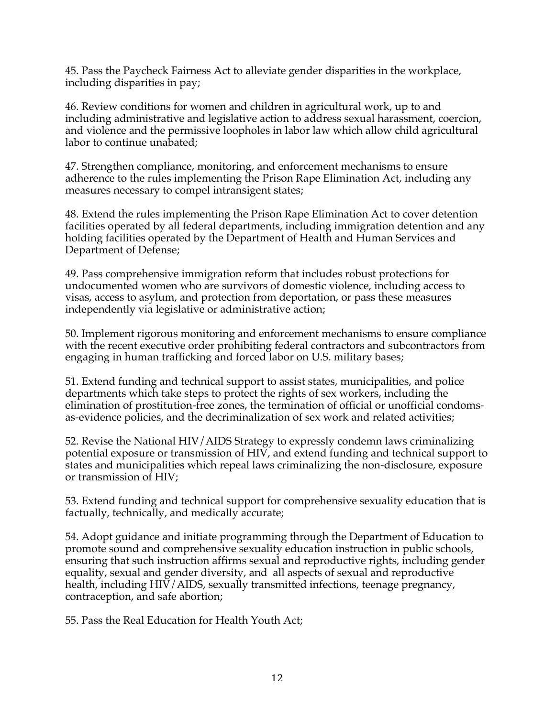45. Pass the Paycheck Fairness Act to alleviate gender disparities in the workplace, including disparities in pay;

46. Review conditions for women and children in agricultural work, up to and including administrative and legislative action to address sexual harassment, coercion, and violence and the permissive loopholes in labor law which allow child agricultural labor to continue unabated;

47. Strengthen compliance, monitoring, and enforcement mechanisms to ensure adherence to the rules implementing the Prison Rape Elimination Act, including any measures necessary to compel intransigent states;

48. Extend the rules implementing the Prison Rape Elimination Act to cover detention facilities operated by all federal departments, including immigration detention and any holding facilities operated by the Department of Health and Human Services and Department of Defense;

49. Pass comprehensive immigration reform that includes robust protections for undocumented women who are survivors of domestic violence, including access to visas, access to asylum, and protection from deportation, or pass these measures independently via legislative or administrative action;

50. Implement rigorous monitoring and enforcement mechanisms to ensure compliance with the recent executive order prohibiting federal contractors and subcontractors from engaging in human trafficking and forced labor on U.S. military bases;

51. Extend funding and technical support to assist states, municipalities, and police departments which take steps to protect the rights of sex workers, including the elimination of prostitution-free zones, the termination of official or unofficial condomsas-evidence policies, and the decriminalization of sex work and related activities;

52. Revise the National HIV/AIDS Strategy to expressly condemn laws criminalizing potential exposure or transmission of HIV, and extend funding and technical support to states and municipalities which repeal laws criminalizing the non-disclosure, exposure or transmission of HIV;

53. Extend funding and technical support for comprehensive sexuality education that is factually, technically, and medically accurate;

54. Adopt guidance and initiate programming through the Department of Education to promote sound and comprehensive sexuality education instruction in public schools, ensuring that such instruction affirms sexual and reproductive rights, including gender equality, sexual and gender diversity, and all aspects of sexual and reproductive health, including HIV/AIDS, sexually transmitted infections, teenage pregnancy, contraception, and safe abortion;

55. Pass the Real Education for Health Youth Act;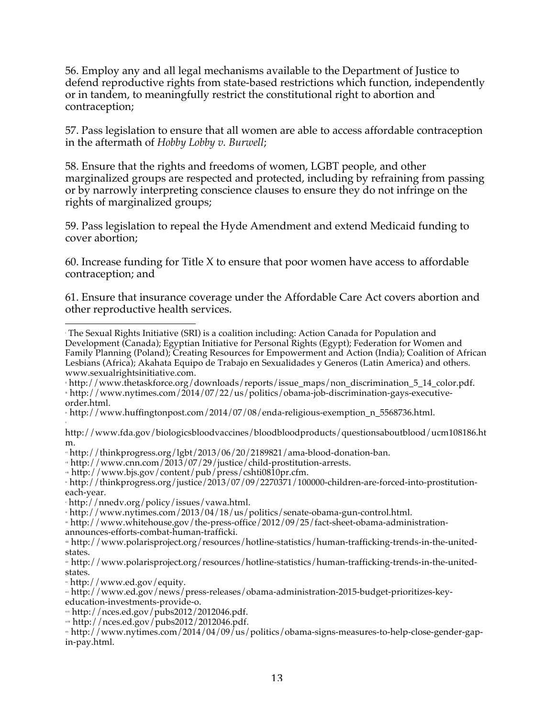56. Employ any and all legal mechanisms available to the Department of Justice to defend reproductive rights from state-based restrictions which function, independently or in tandem, to meaningfully restrict the constitutional right to abortion and contraception;

57. Pass legislation to ensure that all women are able to access affordable contraception in the aftermath of *Hobby Lobby v. Burwell*;

58. Ensure that the rights and freedoms of women, LGBT people, and other marginalized groups are respected and protected, including by refraining from passing or by narrowly interpreting conscience clauses to ensure they do not infringe on the rights of marginalized groups;

59. Pass legislation to repeal the Hyde Amendment and extend Medicaid funding to cover abortion;

60. Increase funding for Title X to ensure that poor women have access to affordable contraception; and

61. Ensure that insurance coverage under the Affordable Care Act covers abortion and other reproductive health services.

 <sup>i</sup> The Sexual Rights Initiative (SRI) is a coalition including: Action Canada for Population and Development (Canada); Egyptian Initiative for Personal Rights (Egypt); Federation for Women and Family Planning (Poland); Creating Resources for Empowerment and Action (India); Coalition of African Lesbians (Africa); Akahata Equipo de Trabajo en Sexualidades y Generos (Latin America) and others. www.sexualrightsinitiative.com.

ii http://www.thetaskforce.org/downloads/reports/issue\_maps/non\_discrimination\_5\_14\_color.pdf.  $i$ http://www.nytimes.com/2014/07/22/us/politics/obama-job-discrimination-gays-executiveorder.html.

iv http://www.huffingtonpost.com/2014/07/08/enda-religious-exemption\_n\_5568736.html. v

http://www.fda.gov/biologicsbloodvaccines/bloodbloodproducts/questionsaboutblood/ucm108186.ht m.

vi http://thinkprogress.org/lgbt/2013/06/20/2189821/ama-blood-donation-ban.

 $v$ http://www.cnn.com/2013/07/29/justice/child-prostitution-arrests.

 $v_{\text{m}}$  http://www.bjs.gov/content/pub/press/cshti0810pr.cfm.

ix http://thinkprogress.org/justice/2013/07/09/2270371/100000-children-are-forced-into-prostitutioneach-year.

<sup>x</sup> http://nnedv.org/policy/issues/vawa.html.

xi http://www.nytimes.com/2013/04/18/us/politics/senate-obama-gun-control.html.

xii http://www.whitehouse.gov/the-press-office/2012/09/25/fact-sheet-obama-administrationannounces-efforts-combat-human-trafficki.

xiii http://www.polarisproject.org/resources/hotline-statistics/human-trafficking-trends-in-the-unitedstates.

xiv http://www.polarisproject.org/resources/hotline-statistics/human-trafficking-trends-in-the-unitedstates.

xv http://www.ed.gov/equity.

xvi http://www.ed.gov/news/press-releases/obama-administration-2015-budget-prioritizes-keyeducation-investments-provide-o.

 $*$ http://nces.ed.gov/pubs2012/2012046.pdf.

 $\frac{1}{2}$ http://nces.ed.gov/pubs2012/2012046.pdf.

xix http://www.nytimes.com/2014/04/09/us/politics/obama-signs-measures-to-help-close-gender-gapin-pay.html.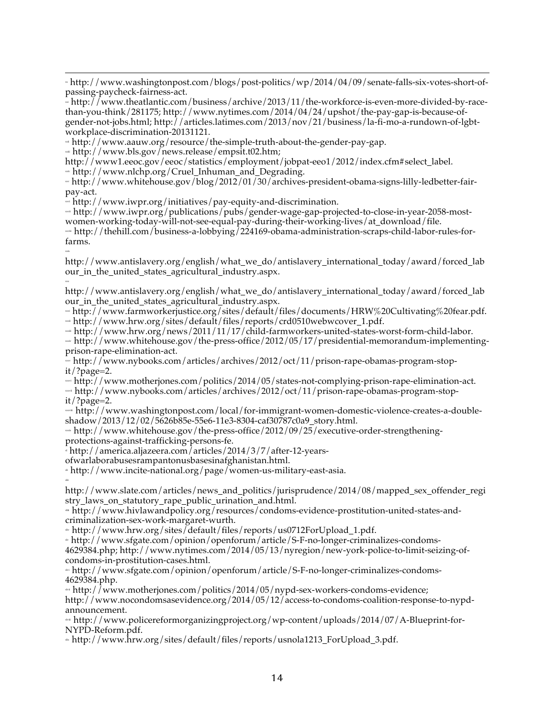<u> 1989 - Andrea San Andrea San Andrea San Andrea San Andrea San Andrea San Andrea San Andrea San Andrea San An</u> xx http://www.washingtonpost.com/blogs/post-politics/wp/2014/04/09/senate-falls-six-votes-short-ofpassing-paycheck-fairness-act.

 $x^*$  http://www.theatlantic.com/business/archive/2013/11/the-workforce-is-even-more-divided-by-racethan-you-think/281175; http://www.nytimes.com/2014/04/24/upshot/the-pay-gap-is-because-ofgender-not-jobs.html; http://articles.latimes.com/2013/nov/21/business/la-fi-mo-a-rundown-of-lgbtworkplace-discrimination-20131121.

 $\approx$  http://www.aauw.org/resource/the-simple-truth-about-the-gender-pay-gap.

 $x^*$  http://www.bls.gov/news.release/empsit.t02.htm;

xxix

 $\infty$ 

xlii

http://www1.eeoc.gov/eeoc/statistics/employment/jobpat-eeo1/2012/index.cfm#select\_label.

\* http://www.nlchp.org/Cruel\_Inhuman\_and\_Degrading.

 $*$ http://www.whitehouse.gov/blog/2012/01/30/archives-president-obama-signs-lilly-ledbetter-fairpay-act.

 $\frac{1}{2}$  http://www.iwpr.org/initiatives/pay-equity-and-discrimination.

 $x*h$ ttp://www.iwpr.org/publications/pubs/gender-wage-gap-projected-to-close-in-year-2058-mostwomen-working-today-will-not-see-equal-pay-during-their-working-lives/at\_download/file.

 $x \approx \text{http://thehill.com/business-a-loblying/224169-obama-administration-scraps-child-labor-rules-for$ farms.

http://www.antislavery.org/english/what\_we\_do/antislavery\_international\_today/award/forced\_lab our\_in\_the\_united\_states\_agricultural\_industry.aspx.

http://www.antislavery.org/english/what\_we\_do/antislavery\_international\_today/award/forced\_lab our\_in\_the\_united\_states\_agricultural\_industry.aspx.

whttp://www.farmworkerjustice.org/sites/default/files/documents/HRW%20Cultivating%20fear.pdf.  $\approx$  http://www.hrw.org/sites/default/files/reports/crd0510webwcover\_1.pdf.

 $x \approx \frac{h_{\text{t}}}{h_{\text{t}}}$  http://www.hrw.org/news/2011/11/17/child-farmworkers-united-states-worst-form-child-labor.

 $x \approx \text{http://www.whitehouse.gov/the-press-office/2012/05/17/presidental-memorandum-implementing-}$ prison-rape-elimination-act.

 $\sim$  http://www.nybooks.com/articles/archives/2012/oct/11/prison-rape-obamas-program-stopit/?page=2.

 $\frac{\text{with}}{\text{with}}$  /www.motherjones.com/politics/2014/05/states-not-complying-prison-rape-elimination-act.

was http://www.nybooks.com/articles/archives/2012/oct/11/prison-rape-obamas-program-stopit/?page=2.

 $x_i = \frac{h(t)}{v}$  www.washingtonpost.com/local/for-immigrant-women-domestic-violence-creates-a-doubleshadow/2013/12/02/5626b85e-55e6-11e3-8304-caf30787c0a9\_story.html.

 $x = \frac{h}{v}$  http://www.whitehouse.gov/the-press-office/2012/09/25/executive-order-strengtheningprotections-against-trafficking-persons-fe.

xl http://america.aljazeera.com/articles/2014/3/7/after-12-years-

ofwarlaborabusesrampantonusbasesinafghanistan.html.

xli http://www.incite-national.org/page/women-us-military-east-asia.

http://www.slate.com/articles/news\_and\_politics/jurisprudence/2014/08/mapped\_sex\_offender\_regi stry\_laws\_on\_statutory\_rape\_public\_urination\_and.html.

 $*$ http://www.hivlawandpolicy.org/resources/condoms-evidence-prostitution-united-states-andcriminalization-sex-work-margaret-wurth.

 $*$  http://www.hrw.org/sites/default/files/reports/us0712ForUpload 1.pdf.

xlv http://www.sfgate.com/opinion/openforum/article/S-F-no-longer-criminalizes-condoms-

4629384.php; http://www.nytimes.com/2014/05/13/nyregion/new-york-police-to-limit-seizing-ofcondoms-in-prostitution-cases.html.

xlvi http://www.sfgate.com/opinion/openforum/article/S-F-no-longer-criminalizes-condoms-4629384.php.

 $\text{http://www.motheriones.com/politics/2014/05/nypd-sex-works-condoms-evidence};$ 

http://www.nocondomsasevidence.org/2014/05/12/access-to-condoms-coalition-response-to-nypdannouncement.

 $\text{http://www.policereformorganizingproject.org/wp-content/uploads}/2014/07/A-Blueprint-for-$ NYPD-Reform.pdf.

xlix http://www.hrw.org/sites/default/files/reports/usnola1213\_ForUpload\_3.pdf.